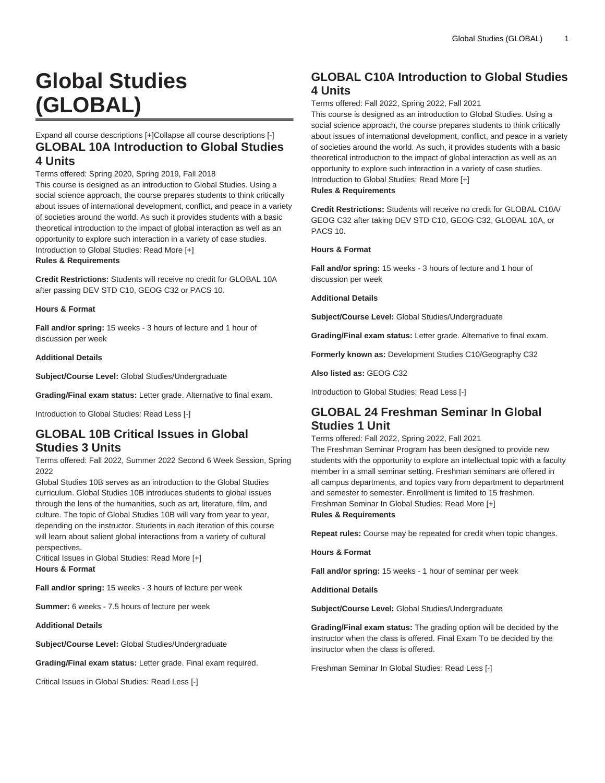# **Global Studies (GLOBAL)**

### Expand all course descriptions [+]Collapse all course descriptions [-] **GLOBAL 10A Introduction to Global Studies 4 Units**

### Terms offered: Spring 2020, Spring 2019, Fall 2018

This course is designed as an introduction to Global Studies. Using a social science approach, the course prepares students to think critically about issues of international development, conflict, and peace in a variety of societies around the world. As such it provides students with a basic theoretical introduction to the impact of global interaction as well as an opportunity to explore such interaction in a variety of case studies. Introduction to Global Studies: Read More [+] **Rules & Requirements**

**Credit Restrictions:** Students will receive no credit for GLOBAL 10A after passing DEV STD C10, GEOG C32 or PACS 10.

**Hours & Format**

**Fall and/or spring:** 15 weeks - 3 hours of lecture and 1 hour of discussion per week

#### **Additional Details**

**Subject/Course Level:** Global Studies/Undergraduate

**Grading/Final exam status:** Letter grade. Alternative to final exam.

Introduction to Global Studies: Read Less [-]

### **GLOBAL 10B Critical Issues in Global Studies 3 Units**

Terms offered: Fall 2022, Summer 2022 Second 6 Week Session, Spring 2022

Global Studies 10B serves as an introduction to the Global Studies curriculum. Global Studies 10B introduces students to global issues through the lens of the humanities, such as art, literature, film, and culture. The topic of Global Studies 10B will vary from year to year, depending on the instructor. Students in each iteration of this course will learn about salient global interactions from a variety of cultural perspectives.

Critical Issues in Global Studies: Read More [+] **Hours & Format**

**Fall and/or spring:** 15 weeks - 3 hours of lecture per week

**Summer:** 6 weeks - 7.5 hours of lecture per week

**Additional Details**

**Subject/Course Level:** Global Studies/Undergraduate

**Grading/Final exam status:** Letter grade. Final exam required.

Critical Issues in Global Studies: Read Less [-]

### **GLOBAL C10A Introduction to Global Studies 4 Units**

Terms offered: Fall 2022, Spring 2022, Fall 2021

This course is designed as an introduction to Global Studies. Using a social science approach, the course prepares students to think critically about issues of international development, conflict, and peace in a variety of societies around the world. As such, it provides students with a basic theoretical introduction to the impact of global interaction as well as an opportunity to explore such interaction in a variety of case studies. Introduction to Global Studies: Read More [+] **Rules & Requirements**

**Credit Restrictions:** Students will receive no credit for GLOBAL C10A/ GEOG C32 after taking DEV STD C10, GEOG C32, GLOBAL 10A, or PACS 10.

**Hours & Format**

**Fall and/or spring:** 15 weeks - 3 hours of lecture and 1 hour of discussion per week

**Additional Details**

**Subject/Course Level:** Global Studies/Undergraduate

**Grading/Final exam status:** Letter grade. Alternative to final exam.

**Formerly known as:** Development Studies C10/Geography C32

**Also listed as:** GEOG C32

Introduction to Global Studies: Read Less [-]

### **GLOBAL 24 Freshman Seminar In Global Studies 1 Unit**

#### Terms offered: Fall 2022, Spring 2022, Fall 2021

The Freshman Seminar Program has been designed to provide new students with the opportunity to explore an intellectual topic with a faculty member in a small seminar setting. Freshman seminars are offered in all campus departments, and topics vary from department to department and semester to semester. Enrollment is limited to 15 freshmen. Freshman Seminar In Global Studies: Read More [+] **Rules & Requirements**

**Repeat rules:** Course may be repeated for credit when topic changes.

**Hours & Format**

**Fall and/or spring:** 15 weeks - 1 hour of seminar per week

**Additional Details**

**Subject/Course Level:** Global Studies/Undergraduate

**Grading/Final exam status:** The grading option will be decided by the instructor when the class is offered. Final Exam To be decided by the instructor when the class is offered.

Freshman Seminar In Global Studies: Read Less [-]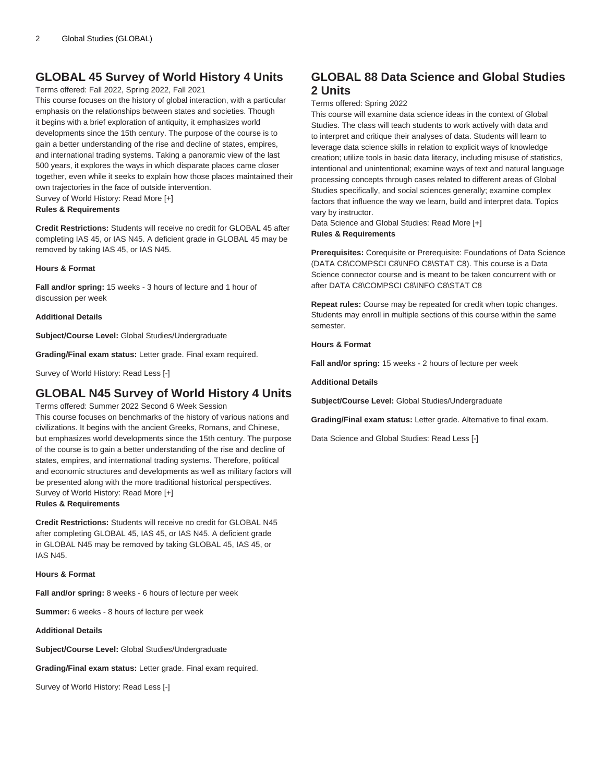# **GLOBAL 45 Survey of World History 4 Units**

Terms offered: Fall 2022, Spring 2022, Fall 2021

This course focuses on the history of global interaction, with a particular emphasis on the relationships between states and societies. Though it begins with a brief exploration of antiquity, it emphasizes world developments since the 15th century. The purpose of the course is to gain a better understanding of the rise and decline of states, empires, and international trading systems. Taking a panoramic view of the last 500 years, it explores the ways in which disparate places came closer together, even while it seeks to explain how those places maintained their own trajectories in the face of outside intervention.

Survey of World History: Read More [+]

### **Rules & Requirements**

**Credit Restrictions:** Students will receive no credit for GLOBAL 45 after completing IAS 45, or IAS N45. A deficient grade in GLOBAL 45 may be removed by taking IAS 45, or IAS N45.

#### **Hours & Format**

**Fall and/or spring:** 15 weeks - 3 hours of lecture and 1 hour of discussion per week

**Additional Details**

**Subject/Course Level:** Global Studies/Undergraduate

**Grading/Final exam status:** Letter grade. Final exam required.

Survey of World History: Read Less [-]

### **GLOBAL N45 Survey of World History 4 Units**

Terms offered: Summer 2022 Second 6 Week Session

This course focuses on benchmarks of the history of various nations and civilizations. It begins with the ancient Greeks, Romans, and Chinese, but emphasizes world developments since the 15th century. The purpose of the course is to gain a better understanding of the rise and decline of states, empires, and international trading systems. Therefore, political and economic structures and developments as well as military factors will be presented along with the more traditional historical perspectives. Survey of World History: Read More [+] **Rules & Requirements**

**Credit Restrictions:** Students will receive no credit for GLOBAL N45 after completing GLOBAL 45, IAS 45, or IAS N45. A deficient grade in GLOBAL N45 may be removed by taking GLOBAL 45, IAS 45, or IAS N45.

**Hours & Format**

**Fall and/or spring:** 8 weeks - 6 hours of lecture per week

**Summer:** 6 weeks - 8 hours of lecture per week

**Additional Details**

**Subject/Course Level:** Global Studies/Undergraduate

**Grading/Final exam status:** Letter grade. Final exam required.

Survey of World History: Read Less [-]

### **GLOBAL 88 Data Science and Global Studies 2 Units**

### Terms offered: Spring 2022

This course will examine data science ideas in the context of Global Studies. The class will teach students to work actively with data and to interpret and critique their analyses of data. Students will learn to leverage data science skills in relation to explicit ways of knowledge creation; utilize tools in basic data literacy, including misuse of statistics, intentional and unintentional; examine ways of text and natural language processing concepts through cases related to different areas of Global Studies specifically, and social sciences generally; examine complex factors that influence the way we learn, build and interpret data. Topics vary by instructor.

Data Science and Global Studies: Read More [+] **Rules & Requirements**

**Prerequisites:** Corequisite or Prerequisite: Foundations of Data Science (DATA C8\COMPSCI C8\INFO C8\STAT C8). This course is a Data Science connector course and is meant to be taken concurrent with or after DATA C8\COMPSCI C8\INFO C8\STAT C8

**Repeat rules:** Course may be repeated for credit when topic changes. Students may enroll in multiple sections of this course within the same semester.

#### **Hours & Format**

**Fall and/or spring:** 15 weeks - 2 hours of lecture per week

**Additional Details**

**Subject/Course Level:** Global Studies/Undergraduate

**Grading/Final exam status:** Letter grade. Alternative to final exam.

Data Science and Global Studies: Read Less [-]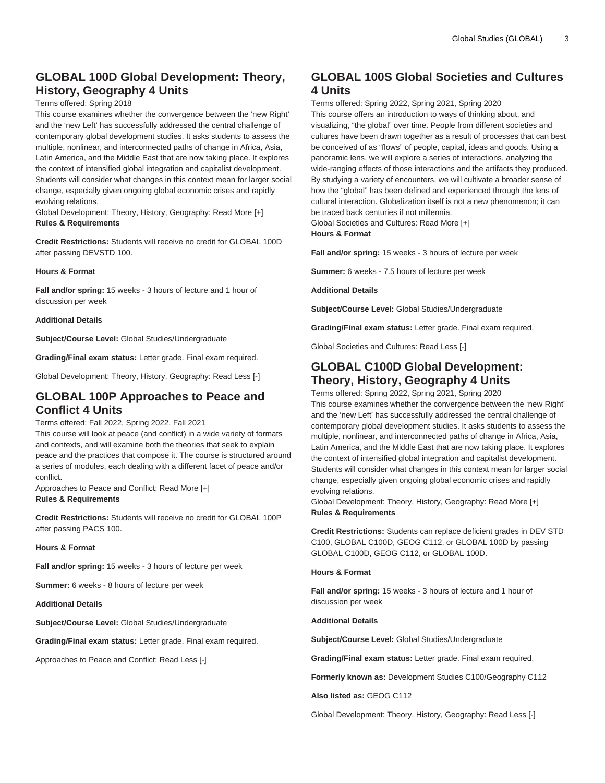### **GLOBAL 100D Global Development: Theory, History, Geography 4 Units**

#### Terms offered: Spring 2018

This course examines whether the convergence between the 'new Right' and the 'new Left' has successfully addressed the central challenge of contemporary global development studies. It asks students to assess the multiple, nonlinear, and interconnected paths of change in Africa, Asia, Latin America, and the Middle East that are now taking place. It explores the context of intensified global integration and capitalist development. Students will consider what changes in this context mean for larger social change, especially given ongoing global economic crises and rapidly evolving relations.

Global Development: Theory, History, Geography: Read More [+] **Rules & Requirements**

**Credit Restrictions:** Students will receive no credit for GLOBAL 100D after passing DEVSTD 100.

#### **Hours & Format**

**Fall and/or spring:** 15 weeks - 3 hours of lecture and 1 hour of discussion per week

#### **Additional Details**

**Subject/Course Level:** Global Studies/Undergraduate

**Grading/Final exam status:** Letter grade. Final exam required.

Global Development: Theory, History, Geography: Read Less [-]

### **GLOBAL 100P Approaches to Peace and Conflict 4 Units**

#### Terms offered: Fall 2022, Spring 2022, Fall 2021

This course will look at peace (and conflict) in a wide variety of formats and contexts, and will examine both the theories that seek to explain peace and the practices that compose it. The course is structured around a series of modules, each dealing with a different facet of peace and/or conflict.

Approaches to Peace and Conflict: Read More [+] **Rules & Requirements**

**Credit Restrictions:** Students will receive no credit for GLOBAL 100P after passing PACS 100.

#### **Hours & Format**

**Fall and/or spring:** 15 weeks - 3 hours of lecture per week

**Summer:** 6 weeks - 8 hours of lecture per week

#### **Additional Details**

**Subject/Course Level:** Global Studies/Undergraduate

**Grading/Final exam status:** Letter grade. Final exam required.

Approaches to Peace and Conflict: Read Less [-]

### **GLOBAL 100S Global Societies and Cultures 4 Units**

Terms offered: Spring 2022, Spring 2021, Spring 2020 This course offers an introduction to ways of thinking about, and visualizing, "the global" over time. People from different societies and cultures have been drawn together as a result of processes that can best be conceived of as "flows" of people, capital, ideas and goods. Using a panoramic lens, we will explore a series of interactions, analyzing the wide-ranging effects of those interactions and the artifacts they produced. By studying a variety of encounters, we will cultivate a broader sense of how the "global" has been defined and experienced through the lens of cultural interaction. Globalization itself is not a new phenomenon; it can be traced back centuries if not millennia.

Global Societies and Cultures: Read More [+] **Hours & Format**

**Fall and/or spring:** 15 weeks - 3 hours of lecture per week

**Summer:** 6 weeks - 7.5 hours of lecture per week

**Additional Details**

**Subject/Course Level:** Global Studies/Undergraduate

**Grading/Final exam status:** Letter grade. Final exam required.

Global Societies and Cultures: Read Less [-]

# **GLOBAL C100D Global Development: Theory, History, Geography 4 Units**

Terms offered: Spring 2022, Spring 2021, Spring 2020

This course examines whether the convergence between the 'new Right' and the 'new Left' has successfully addressed the central challenge of contemporary global development studies. It asks students to assess the multiple, nonlinear, and interconnected paths of change in Africa, Asia, Latin America, and the Middle East that are now taking place. It explores the context of intensified global integration and capitalist development. Students will consider what changes in this context mean for larger social change, especially given ongoing global economic crises and rapidly evolving relations.

Global Development: Theory, History, Geography: Read More [+] **Rules & Requirements**

**Credit Restrictions:** Students can replace deficient grades in DEV STD C100, GLOBAL C100D, GEOG C112, or GLOBAL 100D by passing GLOBAL C100D, GEOG C112, or GLOBAL 100D.

### **Hours & Format**

**Fall and/or spring:** 15 weeks - 3 hours of lecture and 1 hour of discussion per week

**Additional Details**

**Subject/Course Level:** Global Studies/Undergraduate

**Grading/Final exam status:** Letter grade. Final exam required.

**Formerly known as:** Development Studies C100/Geography C112

**Also listed as:** GEOG C112

Global Development: Theory, History, Geography: Read Less [-]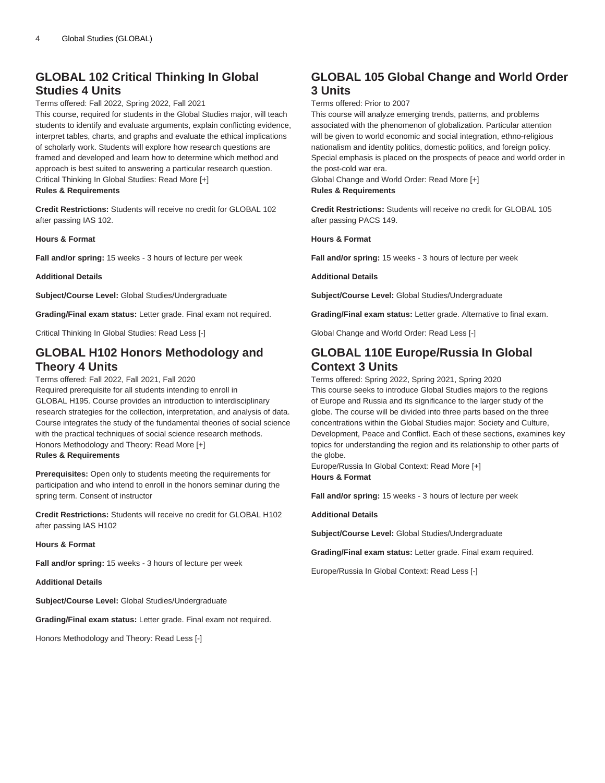# **GLOBAL 102 Critical Thinking In Global Studies 4 Units**

Terms offered: Fall 2022, Spring 2022, Fall 2021

This course, required for students in the Global Studies major, will teach students to identify and evaluate arguments, explain conflicting evidence, interpret tables, charts, and graphs and evaluate the ethical implications of scholarly work. Students will explore how research questions are framed and developed and learn how to determine which method and approach is best suited to answering a particular research question. Critical Thinking In Global Studies: Read More [+]

#### **Rules & Requirements**

**Credit Restrictions:** Students will receive no credit for GLOBAL 102 after passing IAS 102.

**Hours & Format**

**Fall and/or spring:** 15 weeks - 3 hours of lecture per week

**Additional Details**

**Subject/Course Level:** Global Studies/Undergraduate

**Grading/Final exam status:** Letter grade. Final exam not required.

Critical Thinking In Global Studies: Read Less [-]

### **GLOBAL H102 Honors Methodology and Theory 4 Units**

Terms offered: Fall 2022, Fall 2021, Fall 2020 Required prerequisite for all students intending to enroll in GLOBAL H195. Course provides an introduction to interdisciplinary research strategies for the collection, interpretation, and analysis of data. Course integrates the study of the fundamental theories of social science with the practical techniques of social science research methods. Honors Methodology and Theory: Read More [+] **Rules & Requirements**

**Prerequisites:** Open only to students meeting the requirements for participation and who intend to enroll in the honors seminar during the spring term. Consent of instructor

**Credit Restrictions:** Students will receive no credit for GLOBAL H102 after passing IAS H102

**Hours & Format**

**Fall and/or spring:** 15 weeks - 3 hours of lecture per week

**Additional Details**

**Subject/Course Level:** Global Studies/Undergraduate

**Grading/Final exam status:** Letter grade. Final exam not required.

Honors Methodology and Theory: Read Less [-]

### **GLOBAL 105 Global Change and World Order 3 Units**

Terms offered: Prior to 2007

This course will analyze emerging trends, patterns, and problems associated with the phenomenon of globalization. Particular attention will be given to world economic and social integration, ethno-religious nationalism and identity politics, domestic politics, and foreign policy. Special emphasis is placed on the prospects of peace and world order in the post-cold war era.

Global Change and World Order: Read More [+]

### **Rules & Requirements**

**Credit Restrictions:** Students will receive no credit for GLOBAL 105 after passing PACS 149.

**Hours & Format**

**Fall and/or spring:** 15 weeks - 3 hours of lecture per week

**Additional Details**

**Subject/Course Level:** Global Studies/Undergraduate

**Grading/Final exam status:** Letter grade. Alternative to final exam.

Global Change and World Order: Read Less [-]

### **GLOBAL 110E Europe/Russia In Global Context 3 Units**

Terms offered: Spring 2022, Spring 2021, Spring 2020 This course seeks to introduce Global Studies majors to the regions of Europe and Russia and its significance to the larger study of the globe. The course will be divided into three parts based on the three concentrations within the Global Studies major: Society and Culture, Development, Peace and Conflict. Each of these sections, examines key topics for understanding the region and its relationship to other parts of the globe.

Europe/Russia In Global Context: Read More [+] **Hours & Format**

**Fall and/or spring:** 15 weeks - 3 hours of lecture per week

**Additional Details**

**Subject/Course Level:** Global Studies/Undergraduate

**Grading/Final exam status:** Letter grade. Final exam required.

Europe/Russia In Global Context: Read Less [-]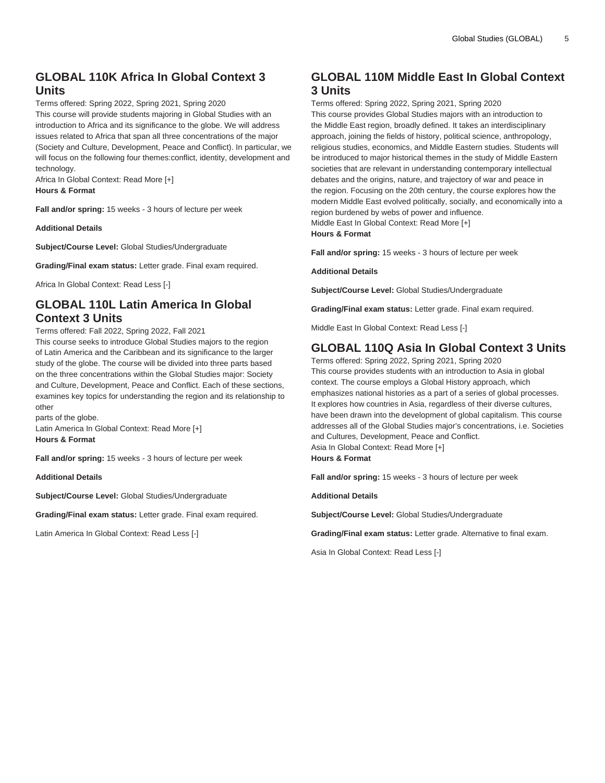# **GLOBAL 110K Africa In Global Context 3 Units**

Terms offered: Spring 2022, Spring 2021, Spring 2020

This course will provide students majoring in Global Studies with an introduction to Africa and its significance to the globe. We will address issues related to Africa that span all three concentrations of the major (Society and Culture, Development, Peace and Conflict). In particular, we will focus on the following four themes:conflict, identity, development and technology.

Africa In Global Context: Read More [+] **Hours & Format**

**Fall and/or spring:** 15 weeks - 3 hours of lecture per week

**Additional Details**

**Subject/Course Level:** Global Studies/Undergraduate

**Grading/Final exam status:** Letter grade. Final exam required.

Africa In Global Context: Read Less [-]

### **GLOBAL 110L Latin America In Global Context 3 Units**

#### Terms offered: Fall 2022, Spring 2022, Fall 2021

This course seeks to introduce Global Studies majors to the region of Latin America and the Caribbean and its significance to the larger study of the globe. The course will be divided into three parts based on the three concentrations within the Global Studies major: Society and Culture, Development, Peace and Conflict. Each of these sections, examines key topics for understanding the region and its relationship to other

parts of the globe. Latin America In Global Context: Read More [+] **Hours & Format**

**Fall and/or spring:** 15 weeks - 3 hours of lecture per week

**Additional Details**

**Subject/Course Level:** Global Studies/Undergraduate

**Grading/Final exam status:** Letter grade. Final exam required.

Latin America In Global Context: Read Less [-]

# **GLOBAL 110M Middle East In Global Context 3 Units**

Terms offered: Spring 2022, Spring 2021, Spring 2020 This course provides Global Studies majors with an introduction to the Middle East region, broadly defined. It takes an interdisciplinary approach, joining the fields of history, political science, anthropology, religious studies, economics, and Middle Eastern studies. Students will be introduced to major historical themes in the study of Middle Eastern societies that are relevant in understanding contemporary intellectual debates and the origins, nature, and trajectory of war and peace in the region. Focusing on the 20th century, the course explores how the modern Middle East evolved politically, socially, and economically into a region burdened by webs of power and influence. Middle East In Global Context: Read More [+] **Hours & Format**

**Fall and/or spring:** 15 weeks - 3 hours of lecture per week

**Additional Details**

**Subject/Course Level:** Global Studies/Undergraduate

**Grading/Final exam status:** Letter grade. Final exam required.

Middle East In Global Context: Read Less [-]

### **GLOBAL 110Q Asia In Global Context 3 Units**

Terms offered: Spring 2022, Spring 2021, Spring 2020 This course provides students with an introduction to Asia in global context. The course employs a Global History approach, which emphasizes national histories as a part of a series of global processes. It explores how countries in Asia, regardless of their diverse cultures, have been drawn into the development of global capitalism. This course addresses all of the Global Studies major's concentrations, i.e. Societies and Cultures, Development, Peace and Conflict. Asia In Global Context: Read More [+] **Hours & Format**

**Fall and/or spring:** 15 weeks - 3 hours of lecture per week

**Additional Details**

**Subject/Course Level:** Global Studies/Undergraduate

**Grading/Final exam status:** Letter grade. Alternative to final exam.

Asia In Global Context: Read Less [-]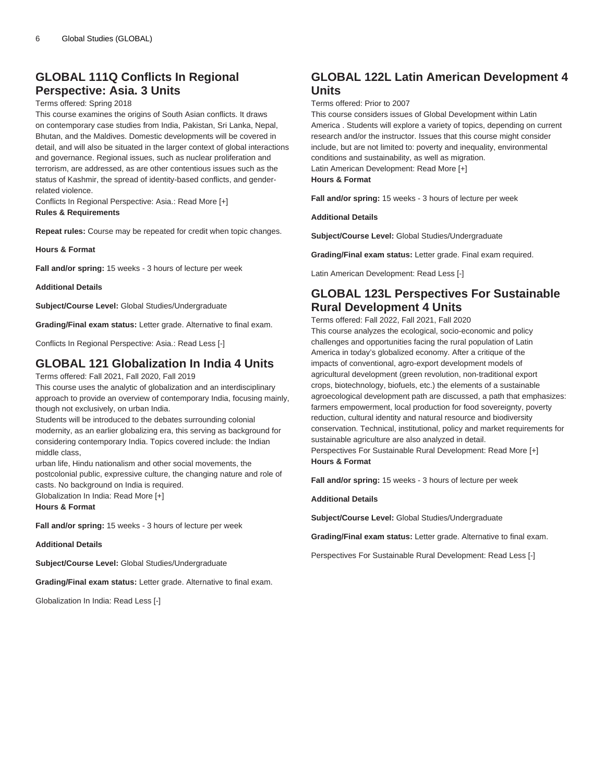# **GLOBAL 111Q Conflicts In Regional Perspective: Asia. 3 Units**

#### Terms offered: Spring 2018

This course examines the origins of South Asian conflicts. It draws on contemporary case studies from India, Pakistan, Sri Lanka, Nepal, Bhutan, and the Maldives. Domestic developments will be covered in detail, and will also be situated in the larger context of global interactions and governance. Regional issues, such as nuclear proliferation and terrorism, are addressed, as are other contentious issues such as the status of Kashmir, the spread of identity-based conflicts, and genderrelated violence.

Conflicts In Regional Perspective: Asia.: Read More [+] **Rules & Requirements**

**Repeat rules:** Course may be repeated for credit when topic changes.

**Hours & Format**

**Fall and/or spring:** 15 weeks - 3 hours of lecture per week

**Additional Details**

**Subject/Course Level:** Global Studies/Undergraduate

**Grading/Final exam status:** Letter grade. Alternative to final exam.

Conflicts In Regional Perspective: Asia.: Read Less [-]

# **GLOBAL 121 Globalization In India 4 Units**

Terms offered: Fall 2021, Fall 2020, Fall 2019

This course uses the analytic of globalization and an interdisciplinary approach to provide an overview of contemporary India, focusing mainly, though not exclusively, on urban India.

Students will be introduced to the debates surrounding colonial modernity, as an earlier globalizing era, this serving as background for considering contemporary India. Topics covered include: the Indian middle class,

urban life, Hindu nationalism and other social movements, the postcolonial public, expressive culture, the changing nature and role of casts. No background on India is required.

Globalization In India: Read More [+] **Hours & Format**

**Fall and/or spring:** 15 weeks - 3 hours of lecture per week

**Additional Details**

**Subject/Course Level:** Global Studies/Undergraduate

**Grading/Final exam status:** Letter grade. Alternative to final exam.

Globalization In India: Read Less [-]

### **GLOBAL 122L Latin American Development 4 Units**

Terms offered: Prior to 2007

This course considers issues of Global Development within Latin America . Students will explore a variety of topics, depending on current research and/or the instructor. Issues that this course might consider include, but are not limited to: poverty and inequality, environmental conditions and sustainability, as well as migration. Latin American Development: Read More [+] **Hours & Format**

**Fall and/or spring:** 15 weeks - 3 hours of lecture per week

**Additional Details**

**Subject/Course Level:** Global Studies/Undergraduate

**Grading/Final exam status:** Letter grade. Final exam required.

Latin American Development: Read Less [-]

### **GLOBAL 123L Perspectives For Sustainable Rural Development 4 Units**

Terms offered: Fall 2022, Fall 2021, Fall 2020

This course analyzes the ecological, socio-economic and policy challenges and opportunities facing the rural population of Latin America in today's globalized economy. After a critique of the impacts of conventional, agro-export development models of agricultural development (green revolution, non-traditional export crops, biotechnology, biofuels, etc.) the elements of a sustainable agroecological development path are discussed, a path that emphasizes: farmers empowerment, local production for food sovereignty, poverty reduction, cultural identity and natural resource and biodiversity conservation. Technical, institutional, policy and market requirements for sustainable agriculture are also analyzed in detail. Perspectives For Sustainable Rural Development: Read More [+] **Hours & Format**

**Fall and/or spring:** 15 weeks - 3 hours of lecture per week

**Additional Details**

**Subject/Course Level:** Global Studies/Undergraduate

**Grading/Final exam status:** Letter grade. Alternative to final exam.

Perspectives For Sustainable Rural Development: Read Less [-]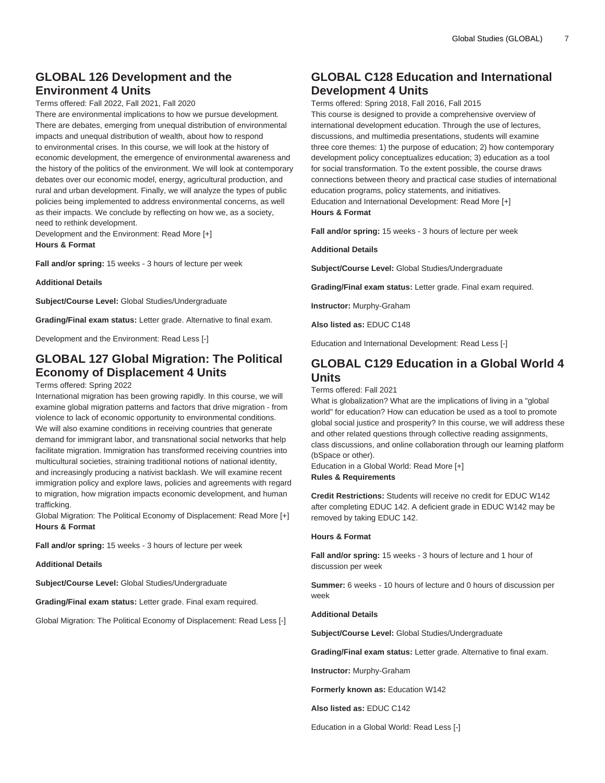# **GLOBAL 126 Development and the Environment 4 Units**

Terms offered: Fall 2022, Fall 2021, Fall 2020

There are environmental implications to how we pursue development. There are debates, emerging from unequal distribution of environmental impacts and unequal distribution of wealth, about how to respond to environmental crises. In this course, we will look at the history of economic development, the emergence of environmental awareness and the history of the politics of the environment. We will look at contemporary debates over our economic model, energy, agricultural production, and rural and urban development. Finally, we will analyze the types of public policies being implemented to address environmental concerns, as well as their impacts. We conclude by reflecting on how we, as a society, need to rethink development.

Development and the Environment: Read More [+] **Hours & Format**

**Fall and/or spring:** 15 weeks - 3 hours of lecture per week

**Additional Details**

**Subject/Course Level:** Global Studies/Undergraduate

**Grading/Final exam status:** Letter grade. Alternative to final exam.

Development and the Environment: Read Less [-]

# **GLOBAL 127 Global Migration: The Political Economy of Displacement 4 Units**

#### Terms offered: Spring 2022

International migration has been growing rapidly. In this course, we will examine global migration patterns and factors that drive migration - from violence to lack of economic opportunity to environmental conditions. We will also examine conditions in receiving countries that generate demand for immigrant labor, and transnational social networks that help facilitate migration. Immigration has transformed receiving countries into multicultural societies, straining traditional notions of national identity, and increasingly producing a nativist backlash. We will examine recent immigration policy and explore laws, policies and agreements with regard to migration, how migration impacts economic development, and human trafficking.

Global Migration: The Political Economy of Displacement: Read More [+] **Hours & Format**

**Fall and/or spring:** 15 weeks - 3 hours of lecture per week

#### **Additional Details**

**Subject/Course Level:** Global Studies/Undergraduate

**Grading/Final exam status:** Letter grade. Final exam required.

Global Migration: The Political Economy of Displacement: Read Less [-]

### **GLOBAL C128 Education and International Development 4 Units**

Terms offered: Spring 2018, Fall 2016, Fall 2015

This course is designed to provide a comprehensive overview of international development education. Through the use of lectures, discussions, and multimedia presentations, students will examine three core themes: 1) the purpose of education; 2) how contemporary development policy conceptualizes education; 3) education as a tool for social transformation. To the extent possible, the course draws connections between theory and practical case studies of international education programs, policy statements, and initiatives. Education and International Development: Read More [+] **Hours & Format**

**Fall and/or spring:** 15 weeks - 3 hours of lecture per week

**Additional Details**

**Subject/Course Level:** Global Studies/Undergraduate

**Grading/Final exam status:** Letter grade. Final exam required.

**Instructor:** Murphy-Graham

**Also listed as:** EDUC C148

Education and International Development: Read Less [-]

### **GLOBAL C129 Education in a Global World 4 Units**

Terms offered: Fall 2021

What is globalization? What are the implications of living in a "global world" for education? How can education be used as a tool to promote global social justice and prosperity? In this course, we will address these and other related questions through collective reading assignments, class discussions, and online collaboration through our learning platform (bSpace or other).

Education in a Global World: Read More [+] **Rules & Requirements**

**Credit Restrictions:** Students will receive no credit for EDUC W142 after completing EDUC 142. A deficient grade in EDUC W142 may be removed by taking EDUC 142.

#### **Hours & Format**

**Fall and/or spring:** 15 weeks - 3 hours of lecture and 1 hour of discussion per week

**Summer:** 6 weeks - 10 hours of lecture and 0 hours of discussion per week

#### **Additional Details**

**Subject/Course Level:** Global Studies/Undergraduate

**Grading/Final exam status:** Letter grade. Alternative to final exam.

**Instructor:** Murphy-Graham

**Formerly known as:** Education W142

**Also listed as:** EDUC C142

Education in a Global World: Read Less [-]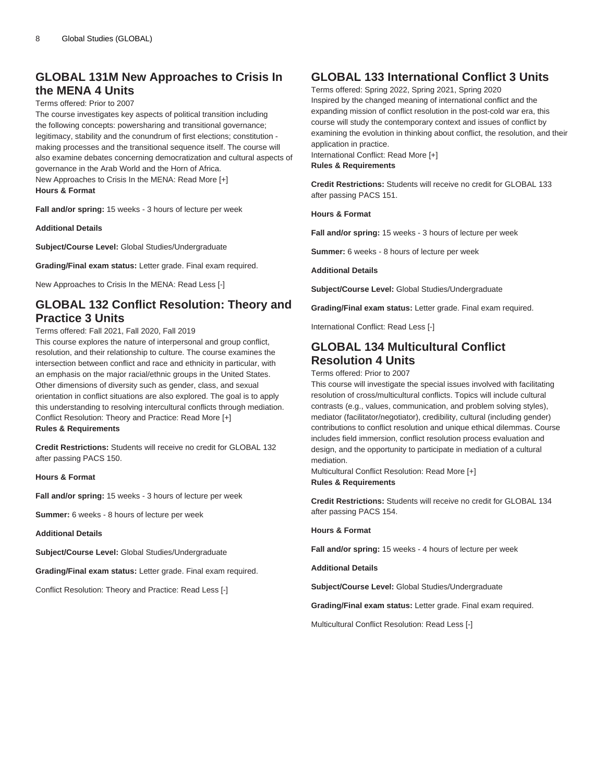### **GLOBAL 131M New Approaches to Crisis In the MENA 4 Units**

#### Terms offered: Prior to 2007

The course investigates key aspects of political transition including the following concepts: powersharing and transitional governance; legitimacy, stability and the conundrum of first elections; constitution making processes and the transitional sequence itself. The course will also examine debates concerning democratization and cultural aspects of governance in the Arab World and the Horn of Africa.

New Approaches to Crisis In the MENA: Read More [+]

**Hours & Format**

**Fall and/or spring:** 15 weeks - 3 hours of lecture per week

**Additional Details**

**Subject/Course Level:** Global Studies/Undergraduate

**Grading/Final exam status:** Letter grade. Final exam required.

New Approaches to Crisis In the MENA: Read Less [-]

### **GLOBAL 132 Conflict Resolution: Theory and Practice 3 Units**

#### Terms offered: Fall 2021, Fall 2020, Fall 2019

This course explores the nature of interpersonal and group conflict, resolution, and their relationship to culture. The course examines the intersection between conflict and race and ethnicity in particular, with an emphasis on the major racial/ethnic groups in the United States. Other dimensions of diversity such as gender, class, and sexual orientation in conflict situations are also explored. The goal is to apply this understanding to resolving intercultural conflicts through mediation. Conflict Resolution: Theory and Practice: Read More [+] **Rules & Requirements**

**Credit Restrictions:** Students will receive no credit for GLOBAL 132

after passing PACS 150.

**Hours & Format**

**Fall and/or spring:** 15 weeks - 3 hours of lecture per week

**Summer:** 6 weeks - 8 hours of lecture per week

**Additional Details**

**Subject/Course Level:** Global Studies/Undergraduate

**Grading/Final exam status:** Letter grade. Final exam required.

Conflict Resolution: Theory and Practice: Read Less [-]

### **GLOBAL 133 International Conflict 3 Units**

Terms offered: Spring 2022, Spring 2021, Spring 2020 Inspired by the changed meaning of international conflict and the expanding mission of conflict resolution in the post-cold war era, this course will study the contemporary context and issues of conflict by examining the evolution in thinking about conflict, the resolution, and their application in practice.

International Conflict: Read More [+] **Rules & Requirements**

**Credit Restrictions:** Students will receive no credit for GLOBAL 133 after passing PACS 151.

**Hours & Format**

**Fall and/or spring:** 15 weeks - 3 hours of lecture per week

**Summer:** 6 weeks - 8 hours of lecture per week

**Additional Details**

**Subject/Course Level:** Global Studies/Undergraduate

**Grading/Final exam status:** Letter grade. Final exam required.

International Conflict: Read Less [-]

# **GLOBAL 134 Multicultural Conflict Resolution 4 Units**

#### Terms offered: Prior to 2007

This course will investigate the special issues involved with facilitating resolution of cross/multicultural conflicts. Topics will include cultural contrasts (e.g., values, communication, and problem solving styles), mediator (facilitator/negotiator), credibility, cultural (including gender) contributions to conflict resolution and unique ethical dilemmas. Course includes field immersion, conflict resolution process evaluation and design, and the opportunity to participate in mediation of a cultural mediation.

Multicultural Conflict Resolution: Read More [+] **Rules & Requirements**

**Credit Restrictions:** Students will receive no credit for GLOBAL 134 after passing PACS 154.

**Hours & Format**

**Fall and/or spring:** 15 weeks - 4 hours of lecture per week

**Additional Details**

**Subject/Course Level:** Global Studies/Undergraduate

**Grading/Final exam status:** Letter grade. Final exam required.

Multicultural Conflict Resolution: Read Less [-]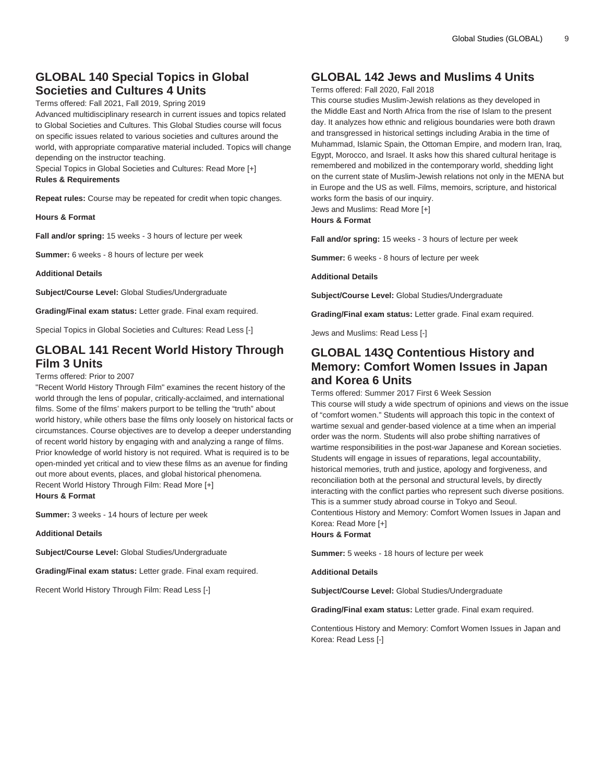# **GLOBAL 140 Special Topics in Global Societies and Cultures 4 Units**

Terms offered: Fall 2021, Fall 2019, Spring 2019

Advanced multidisciplinary research in current issues and topics related to Global Societies and Cultures. This Global Studies course will focus on specific issues related to various societies and cultures around the world, with appropriate comparative material included. Topics will change depending on the instructor teaching.

Special Topics in Global Societies and Cultures: Read More [+] **Rules & Requirements**

**Repeat rules:** Course may be repeated for credit when topic changes.

**Hours & Format**

**Fall and/or spring:** 15 weeks - 3 hours of lecture per week

**Summer:** 6 weeks - 8 hours of lecture per week

**Additional Details**

**Subject/Course Level:** Global Studies/Undergraduate

**Grading/Final exam status:** Letter grade. Final exam required.

Special Topics in Global Societies and Cultures: Read Less [-]

### **GLOBAL 141 Recent World History Through Film 3 Units**

Terms offered: Prior to 2007

"Recent World History Through Film" examines the recent history of the world through the lens of popular, critically-acclaimed, and international films. Some of the films' makers purport to be telling the "truth" about world history, while others base the films only loosely on historical facts or circumstances. Course objectives are to develop a deeper understanding of recent world history by engaging with and analyzing a range of films. Prior knowledge of world history is not required. What is required is to be open-minded yet critical and to view these films as an avenue for finding out more about events, places, and global historical phenomena. Recent World History Through Film: Read More [+] **Hours & Format**

**Summer:** 3 weeks - 14 hours of lecture per week

**Additional Details**

**Subject/Course Level:** Global Studies/Undergraduate

**Grading/Final exam status:** Letter grade. Final exam required.

Recent World History Through Film: Read Less [-]

### **GLOBAL 142 Jews and Muslims 4 Units**

Terms offered: Fall 2020, Fall 2018

This course studies Muslim-Jewish relations as they developed in the Middle East and North Africa from the rise of Islam to the present day. It analyzes how ethnic and religious boundaries were both drawn and transgressed in historical settings including Arabia in the time of Muhammad, Islamic Spain, the Ottoman Empire, and modern Iran, Iraq, Egypt, Morocco, and Israel. It asks how this shared cultural heritage is remembered and mobilized in the contemporary world, shedding light on the current state of Muslim-Jewish relations not only in the MENA but in Europe and the US as well. Films, memoirs, scripture, and historical works form the basis of our inquiry. Jews and Muslims: Read More [+]

**Hours & Format**

**Fall and/or spring:** 15 weeks - 3 hours of lecture per week

**Summer:** 6 weeks - 8 hours of lecture per week

**Additional Details**

**Subject/Course Level:** Global Studies/Undergraduate

**Grading/Final exam status:** Letter grade. Final exam required.

Jews and Muslims: Read Less [-]

### **GLOBAL 143Q Contentious History and Memory: Comfort Women Issues in Japan and Korea 6 Units**

Terms offered: Summer 2017 First 6 Week Session

This course will study a wide spectrum of opinions and views on the issue of "comfort women." Students will approach this topic in the context of wartime sexual and gender-based violence at a time when an imperial order was the norm. Students will also probe shifting narratives of wartime responsibilities in the post-war Japanese and Korean societies. Students will engage in issues of reparations, legal accountability, historical memories, truth and justice, apology and forgiveness, and reconciliation both at the personal and structural levels, by directly interacting with the conflict parties who represent such diverse positions. This is a summer study abroad course in Tokyo and Seoul. Contentious History and Memory: Comfort Women Issues in Japan and Korea: Read More [+] **Hours & Format**

**Summer:** 5 weeks - 18 hours of lecture per week

**Additional Details**

**Subject/Course Level:** Global Studies/Undergraduate

**Grading/Final exam status:** Letter grade. Final exam required.

Contentious History and Memory: Comfort Women Issues in Japan and Korea: Read Less [-]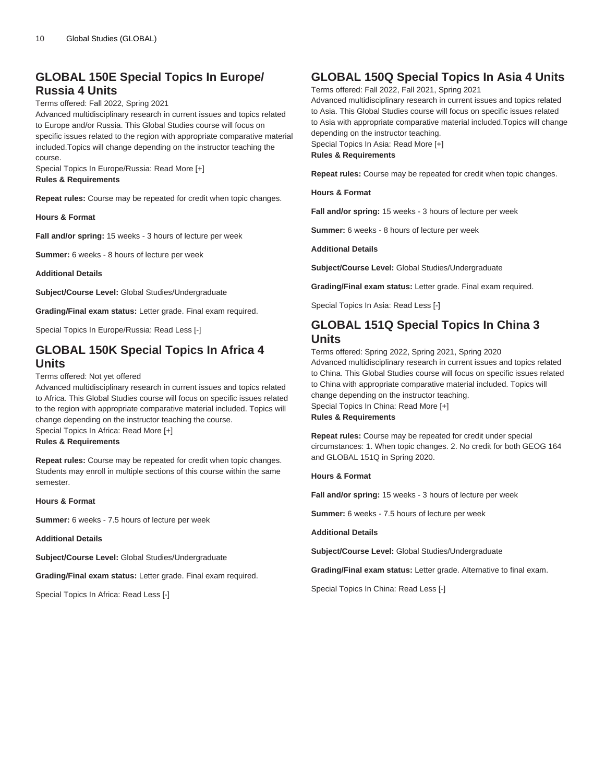# **GLOBAL 150E Special Topics In Europe/ Russia 4 Units**

#### Terms offered: Fall 2022, Spring 2021

Advanced multidisciplinary research in current issues and topics related to Europe and/or Russia. This Global Studies course will focus on specific issues related to the region with appropriate comparative material included.Topics will change depending on the instructor teaching the course.

Special Topics In Europe/Russia: Read More [+] **Rules & Requirements**

**Repeat rules:** Course may be repeated for credit when topic changes.

**Hours & Format**

**Fall and/or spring:** 15 weeks - 3 hours of lecture per week

**Summer:** 6 weeks - 8 hours of lecture per week

**Additional Details**

**Subject/Course Level:** Global Studies/Undergraduate

**Grading/Final exam status:** Letter grade. Final exam required.

Special Topics In Europe/Russia: Read Less [-]

# **GLOBAL 150K Special Topics In Africa 4 Units**

Terms offered: Not yet offered

Advanced multidisciplinary research in current issues and topics related to Africa. This Global Studies course will focus on specific issues related to the region with appropriate comparative material included. Topics will change depending on the instructor teaching the course. Special Topics In Africa: Read More [+]

**Rules & Requirements**

**Repeat rules:** Course may be repeated for credit when topic changes. Students may enroll in multiple sections of this course within the same semester.

**Hours & Format**

**Summer:** 6 weeks - 7.5 hours of lecture per week

**Additional Details**

**Subject/Course Level:** Global Studies/Undergraduate

**Grading/Final exam status:** Letter grade. Final exam required.

Special Topics In Africa: Read Less [-]

# **GLOBAL 150Q Special Topics In Asia 4 Units**

Terms offered: Fall 2022, Fall 2021, Spring 2021

Advanced multidisciplinary research in current issues and topics related to Asia. This Global Studies course will focus on specific issues related to Asia with appropriate comparative material included.Topics will change depending on the instructor teaching. Special Topics In Asia: Read More [+] **Rules & Requirements**

**Repeat rules:** Course may be repeated for credit when topic changes.

**Hours & Format**

**Fall and/or spring:** 15 weeks - 3 hours of lecture per week

**Summer:** 6 weeks - 8 hours of lecture per week

**Additional Details**

**Subject/Course Level:** Global Studies/Undergraduate

**Grading/Final exam status:** Letter grade. Final exam required.

Special Topics In Asia: Read Less [-]

### **GLOBAL 151Q Special Topics In China 3 Units**

Terms offered: Spring 2022, Spring 2021, Spring 2020 Advanced multidisciplinary research in current issues and topics related to China. This Global Studies course will focus on specific issues related to China with appropriate comparative material included. Topics will change depending on the instructor teaching. Special Topics In China: Read More [+] **Rules & Requirements**

**Repeat rules:** Course may be repeated for credit under special circumstances: 1. When topic changes. 2. No credit for both GEOG 164 and GLOBAL 151Q in Spring 2020.

#### **Hours & Format**

**Fall and/or spring:** 15 weeks - 3 hours of lecture per week

**Summer:** 6 weeks - 7.5 hours of lecture per week

**Additional Details**

**Subject/Course Level:** Global Studies/Undergraduate

**Grading/Final exam status:** Letter grade. Alternative to final exam.

Special Topics In China: Read Less [-]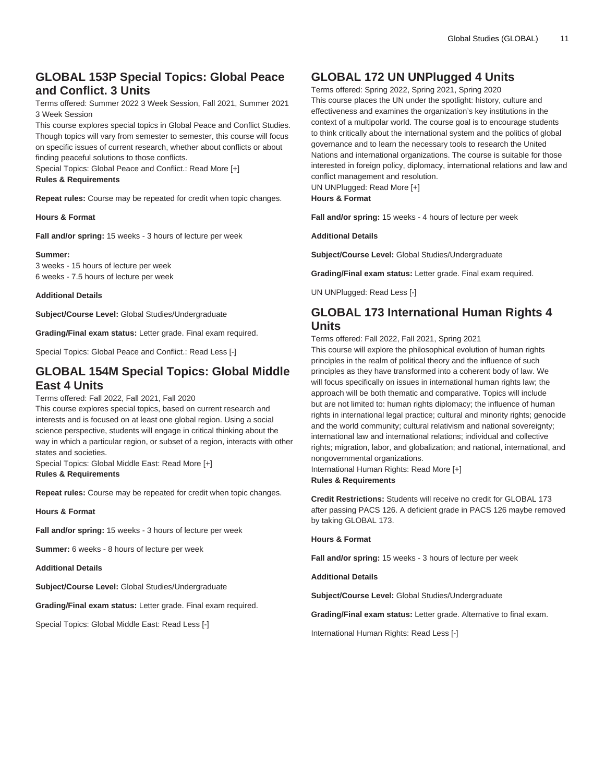# **GLOBAL 153P Special Topics: Global Peace and Conflict. 3 Units**

Terms offered: Summer 2022 3 Week Session, Fall 2021, Summer 2021 3 Week Session

This course explores special topics in Global Peace and Conflict Studies. Though topics will vary from semester to semester, this course will focus on specific issues of current research, whether about conflicts or about finding peaceful solutions to those conflicts.

Special Topics: Global Peace and Conflict.: Read More [+] **Rules & Requirements**

**Repeat rules:** Course may be repeated for credit when topic changes.

**Hours & Format**

**Fall and/or spring:** 15 weeks - 3 hours of lecture per week

**Summer:** 3 weeks - 15 hours of lecture per week 6 weeks - 7.5 hours of lecture per week

#### **Additional Details**

**Subject/Course Level:** Global Studies/Undergraduate

**Grading/Final exam status:** Letter grade. Final exam required.

Special Topics: Global Peace and Conflict.: Read Less [-]

### **GLOBAL 154M Special Topics: Global Middle East 4 Units**

#### Terms offered: Fall 2022, Fall 2021, Fall 2020

This course explores special topics, based on current research and interests and is focused on at least one global region. Using a social science perspective, students will engage in critical thinking about the way in which a particular region, or subset of a region, interacts with other states and societies.

Special Topics: Global Middle East: Read More [+] **Rules & Requirements**

**Repeat rules:** Course may be repeated for credit when topic changes.

**Hours & Format**

**Fall and/or spring:** 15 weeks - 3 hours of lecture per week

**Summer:** 6 weeks - 8 hours of lecture per week

**Additional Details**

**Subject/Course Level:** Global Studies/Undergraduate

**Grading/Final exam status:** Letter grade. Final exam required.

Special Topics: Global Middle East: Read Less [-]

# **GLOBAL 172 UN UNPlugged 4 Units**

Terms offered: Spring 2022, Spring 2021, Spring 2020 This course places the UN under the spotlight: history, culture and effectiveness and examines the organization's key institutions in the context of a multipolar world. The course goal is to encourage students to think critically about the international system and the politics of global governance and to learn the necessary tools to research the United Nations and international organizations. The course is suitable for those interested in foreign policy, diplomacy, international relations and law and conflict management and resolution.

UN UNPlugged: Read More [+] **Hours & Format**

**Fall and/or spring:** 15 weeks - 4 hours of lecture per week

**Additional Details**

**Subject/Course Level:** Global Studies/Undergraduate

**Grading/Final exam status:** Letter grade. Final exam required.

UN UNPlugged: Read Less [-]

### **GLOBAL 173 International Human Rights 4 Units**

Terms offered: Fall 2022, Fall 2021, Spring 2021

This course will explore the philosophical evolution of human rights principles in the realm of political theory and the influence of such principles as they have transformed into a coherent body of law. We will focus specifically on issues in international human rights law; the approach will be both thematic and comparative. Topics will include but are not limited to: human rights diplomacy; the influence of human rights in international legal practice; cultural and minority rights; genocide and the world community; cultural relativism and national sovereignty; international law and international relations; individual and collective rights; migration, labor, and globalization; and national, international, and nongovernmental organizations. International Human Rights: Read More [+]

**Rules & Requirements**

**Credit Restrictions:** Students will receive no credit for GLOBAL 173 after passing PACS 126. A deficient grade in PACS 126 maybe removed by taking GLOBAL 173.

**Hours & Format**

**Fall and/or spring:** 15 weeks - 3 hours of lecture per week

**Additional Details**

**Subject/Course Level:** Global Studies/Undergraduate

**Grading/Final exam status:** Letter grade. Alternative to final exam.

International Human Rights: Read Less [-]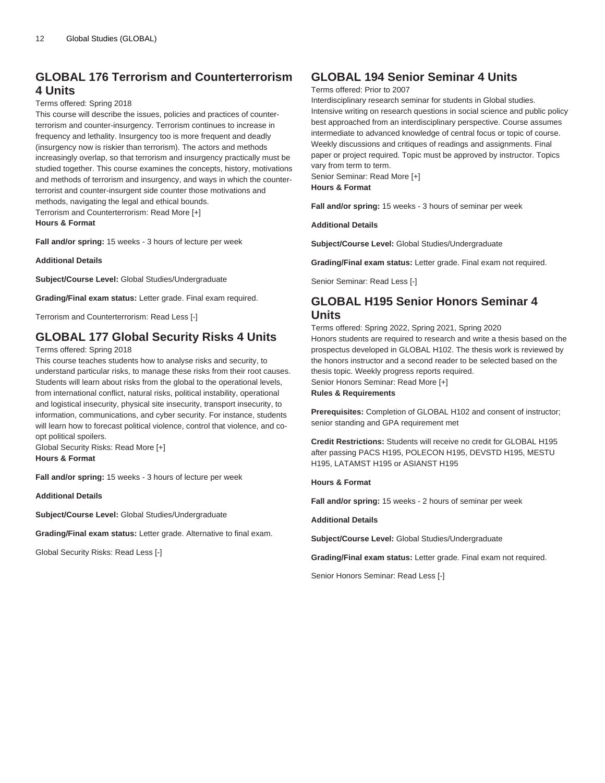### **GLOBAL 176 Terrorism and Counterterrorism 4 Units**

### Terms offered: Spring 2018

This course will describe the issues, policies and practices of counterterrorism and counter-insurgency. Terrorism continues to increase in frequency and lethality. Insurgency too is more frequent and deadly (insurgency now is riskier than terrorism). The actors and methods increasingly overlap, so that terrorism and insurgency practically must be studied together. This course examines the concepts, history, motivations and methods of terrorism and insurgency, and ways in which the counterterrorist and counter-insurgent side counter those motivations and methods, navigating the legal and ethical bounds.

Terrorism and Counterterrorism: Read More [+]

**Hours & Format**

**Fall and/or spring:** 15 weeks - 3 hours of lecture per week

**Additional Details**

**Subject/Course Level:** Global Studies/Undergraduate

**Grading/Final exam status:** Letter grade. Final exam required.

Terrorism and Counterterrorism: Read Less [-]

# **GLOBAL 177 Global Security Risks 4 Units**

Terms offered: Spring 2018

This course teaches students how to analyse risks and security, to understand particular risks, to manage these risks from their root causes. Students will learn about risks from the global to the operational levels, from international conflict, natural risks, political instability, operational and logistical insecurity, physical site insecurity, transport insecurity, to information, communications, and cyber security. For instance, students will learn how to forecast political violence, control that violence, and coopt political spoilers.

Global Security Risks: Read More [+] **Hours & Format**

**Fall and/or spring:** 15 weeks - 3 hours of lecture per week

**Additional Details**

**Subject/Course Level:** Global Studies/Undergraduate

**Grading/Final exam status:** Letter grade. Alternative to final exam.

Global Security Risks: Read Less [-]

### **GLOBAL 194 Senior Seminar 4 Units**

#### Terms offered: Prior to 2007

Interdisciplinary research seminar for students in Global studies. Intensive writing on research questions in social science and public policy best approached from an interdisciplinary perspective. Course assumes intermediate to advanced knowledge of central focus or topic of course. Weekly discussions and critiques of readings and assignments. Final paper or project required. Topic must be approved by instructor. Topics vary from term to term. Senior Seminar: Read More [+]

**Hours & Format**

**Fall and/or spring:** 15 weeks - 3 hours of seminar per week

**Additional Details**

**Subject/Course Level:** Global Studies/Undergraduate

**Grading/Final exam status:** Letter grade. Final exam not required.

Senior Seminar: Read Less [-]

### **GLOBAL H195 Senior Honors Seminar 4 Units**

Terms offered: Spring 2022, Spring 2021, Spring 2020 Honors students are required to research and write a thesis based on the prospectus developed in GLOBAL H102. The thesis work is reviewed by the honors instructor and a second reader to be selected based on the thesis topic. Weekly progress reports required. Senior Honors Seminar: Read More [+] **Rules & Requirements**

**Prerequisites:** Completion of GLOBAL H102 and consent of instructor; senior standing and GPA requirement met

**Credit Restrictions:** Students will receive no credit for GLOBAL H195 after passing PACS H195, POLECON H195, DEVSTD H195, MESTU H195, LATAMST H195 or ASIANST H195

**Hours & Format**

**Fall and/or spring:** 15 weeks - 2 hours of seminar per week

**Additional Details**

**Subject/Course Level:** Global Studies/Undergraduate

**Grading/Final exam status:** Letter grade. Final exam not required.

Senior Honors Seminar: Read Less [-]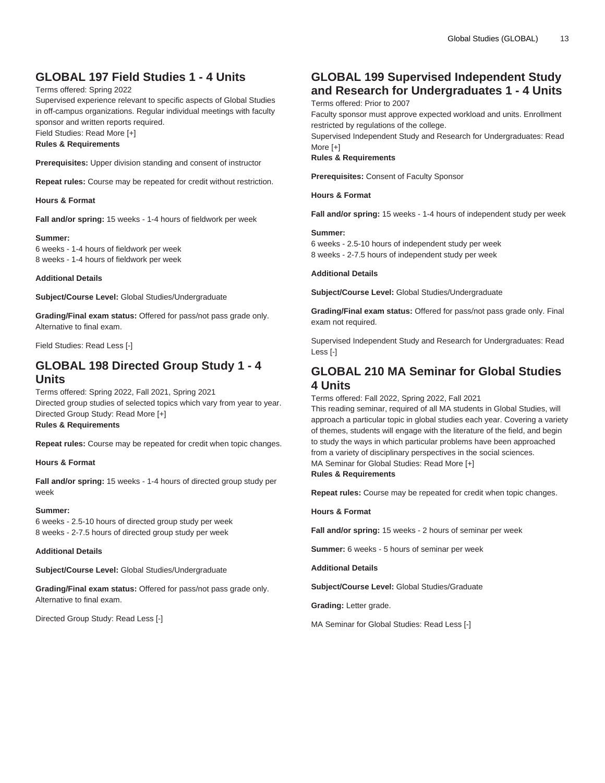# **GLOBAL 197 Field Studies 1 - 4 Units**

Terms offered: Spring 2022

Supervised experience relevant to specific aspects of Global Studies in off-campus organizations. Regular individual meetings with faculty sponsor and written reports required.

Field Studies: Read More [+]

### **Rules & Requirements**

**Prerequisites:** Upper division standing and consent of instructor

**Repeat rules:** Course may be repeated for credit without restriction.

**Hours & Format**

**Fall and/or spring:** 15 weeks - 1-4 hours of fieldwork per week

#### **Summer:**

6 weeks - 1-4 hours of fieldwork per week 8 weeks - 1-4 hours of fieldwork per week

#### **Additional Details**

**Subject/Course Level:** Global Studies/Undergraduate

**Grading/Final exam status:** Offered for pass/not pass grade only. Alternative to final exam.

Field Studies: Read Less [-]

### **GLOBAL 198 Directed Group Study 1 - 4 Units**

Terms offered: Spring 2022, Fall 2021, Spring 2021 Directed group studies of selected topics which vary from year to year. Directed Group Study: Read More [+] **Rules & Requirements**

**Repeat rules:** Course may be repeated for credit when topic changes.

#### **Hours & Format**

**Fall and/or spring:** 15 weeks - 1-4 hours of directed group study per week

#### **Summer:**

6 weeks - 2.5-10 hours of directed group study per week 8 weeks - 2-7.5 hours of directed group study per week

#### **Additional Details**

**Subject/Course Level:** Global Studies/Undergraduate

**Grading/Final exam status:** Offered for pass/not pass grade only. Alternative to final exam.

Directed Group Study: Read Less [-]

# **GLOBAL 199 Supervised Independent Study and Research for Undergraduates 1 - 4 Units**

Terms offered: Prior to 2007

Faculty sponsor must approve expected workload and units. Enrollment restricted by regulations of the college.

Supervised Independent Study and Research for Undergraduates: Read More [+]

#### **Rules & Requirements**

**Prerequisites:** Consent of Faculty Sponsor

**Hours & Format**

**Fall and/or spring:** 15 weeks - 1-4 hours of independent study per week

#### **Summer:**

6 weeks - 2.5-10 hours of independent study per week 8 weeks - 2-7.5 hours of independent study per week

#### **Additional Details**

**Subject/Course Level:** Global Studies/Undergraduate

**Grading/Final exam status:** Offered for pass/not pass grade only. Final exam not required.

Supervised Independent Study and Research for Undergraduates: Read Less [-]

### **GLOBAL 210 MA Seminar for Global Studies 4 Units**

Terms offered: Fall 2022, Spring 2022, Fall 2021

This reading seminar, required of all MA students in Global Studies, will approach a particular topic in global studies each year. Covering a variety of themes, students will engage with the literature of the field, and begin to study the ways in which particular problems have been approached from a variety of disciplinary perspectives in the social sciences. MA Seminar for Global Studies: Read More [+] **Rules & Requirements**

**Repeat rules:** Course may be repeated for credit when topic changes.

**Hours & Format**

**Fall and/or spring:** 15 weeks - 2 hours of seminar per week

**Summer:** 6 weeks - 5 hours of seminar per week

**Additional Details**

**Subject/Course Level:** Global Studies/Graduate

**Grading:** Letter grade.

MA Seminar for Global Studies: Read Less [-]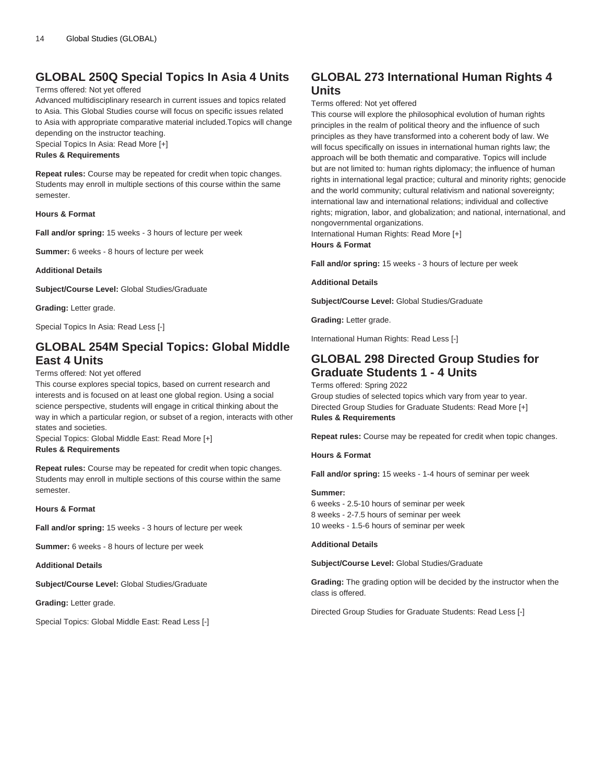### **GLOBAL 250Q Special Topics In Asia 4 Units**

#### Terms offered: Not yet offered

Advanced multidisciplinary research in current issues and topics related to Asia. This Global Studies course will focus on specific issues related to Asia with appropriate comparative material included.Topics will change depending on the instructor teaching.

Special Topics In Asia: Read More [+]

### **Rules & Requirements**

**Repeat rules:** Course may be repeated for credit when topic changes. Students may enroll in multiple sections of this course within the same semester.

#### **Hours & Format**

**Fall and/or spring:** 15 weeks - 3 hours of lecture per week

**Summer:** 6 weeks - 8 hours of lecture per week

**Additional Details**

**Subject/Course Level:** Global Studies/Graduate

**Grading:** Letter grade.

Special Topics In Asia: Read Less [-]

# **GLOBAL 254M Special Topics: Global Middle East 4 Units**

#### Terms offered: Not yet offered

This course explores special topics, based on current research and interests and is focused on at least one global region. Using a social science perspective, students will engage in critical thinking about the way in which a particular region, or subset of a region, interacts with other states and societies.

Special Topics: Global Middle East: Read More [+] **Rules & Requirements**

**Repeat rules:** Course may be repeated for credit when topic changes. Students may enroll in multiple sections of this course within the same semester.

#### **Hours & Format**

**Fall and/or spring:** 15 weeks - 3 hours of lecture per week

**Summer:** 6 weeks - 8 hours of lecture per week

**Additional Details**

**Subject/Course Level:** Global Studies/Graduate

**Grading:** Letter grade.

Special Topics: Global Middle East: Read Less [-]

### **GLOBAL 273 International Human Rights 4 Units**

Terms offered: Not yet offered

This course will explore the philosophical evolution of human rights principles in the realm of political theory and the influence of such principles as they have transformed into a coherent body of law. We will focus specifically on issues in international human rights law; the approach will be both thematic and comparative. Topics will include but are not limited to: human rights diplomacy; the influence of human rights in international legal practice; cultural and minority rights; genocide and the world community; cultural relativism and national sovereignty; international law and international relations; individual and collective rights; migration, labor, and globalization; and national, international, and nongovernmental organizations.

International Human Rights: Read More [+] **Hours & Format**

**Fall and/or spring:** 15 weeks - 3 hours of lecture per week

**Additional Details**

**Subject/Course Level:** Global Studies/Graduate

**Grading:** Letter grade.

International Human Rights: Read Less [-]

### **GLOBAL 298 Directed Group Studies for Graduate Students 1 - 4 Units**

Terms offered: Spring 2022

Group studies of selected topics which vary from year to year. Directed Group Studies for Graduate Students: Read More [+] **Rules & Requirements**

**Repeat rules:** Course may be repeated for credit when topic changes.

**Hours & Format**

**Fall and/or spring:** 15 weeks - 1-4 hours of seminar per week

#### **Summer:**

6 weeks - 2.5-10 hours of seminar per week 8 weeks - 2-7.5 hours of seminar per week 10 weeks - 1.5-6 hours of seminar per week

**Additional Details**

**Subject/Course Level:** Global Studies/Graduate

**Grading:** The grading option will be decided by the instructor when the class is offered.

Directed Group Studies for Graduate Students: Read Less [-]